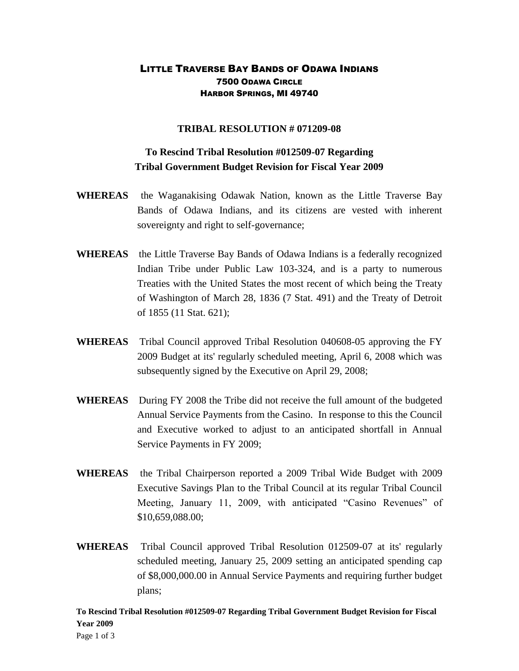## LITTLE TRAVERSE BAY BANDS OF ODAWA INDIANS 7500 ODAWA CIRCLE HARBOR SPRINGS, MI 49740

## **TRIBAL RESOLUTION # 071209-08**

## **To Rescind Tribal Resolution #012509-07 Regarding Tribal Government Budget Revision for Fiscal Year 2009**

- **WHEREAS** the Waganakising Odawak Nation, known as the Little Traverse Bay Bands of Odawa Indians, and its citizens are vested with inherent sovereignty and right to self-governance;
- **WHEREAS** the Little Traverse Bay Bands of Odawa Indians is a federally recognized Indian Tribe under Public Law 103-324, and is a party to numerous Treaties with the United States the most recent of which being the Treaty of Washington of March 28, 1836 (7 Stat. 491) and the Treaty of Detroit of 1855 (11 Stat. 621);
- **WHEREAS** Tribal Council approved Tribal Resolution 040608-05 approving the FY 2009 Budget at its' regularly scheduled meeting, April 6, 2008 which was subsequently signed by the Executive on April 29, 2008;
- **WHEREAS** During FY 2008 the Tribe did not receive the full amount of the budgeted Annual Service Payments from the Casino. In response to this the Council and Executive worked to adjust to an anticipated shortfall in Annual Service Payments in FY 2009;
- **WHEREAS** the Tribal Chairperson reported a 2009 Tribal Wide Budget with 2009 Executive Savings Plan to the Tribal Council at its regular Tribal Council Meeting, January 11, 2009, with anticipated "Casino Revenues" of \$10,659,088.00;
- **WHEREAS** Tribal Council approved Tribal Resolution 012509-07 at its' regularly scheduled meeting, January 25, 2009 setting an anticipated spending cap of \$8,000,000.00 in Annual Service Payments and requiring further budget plans;

**To Rescind Tribal Resolution #012509-07 Regarding Tribal Government Budget Revision for Fiscal Year 2009**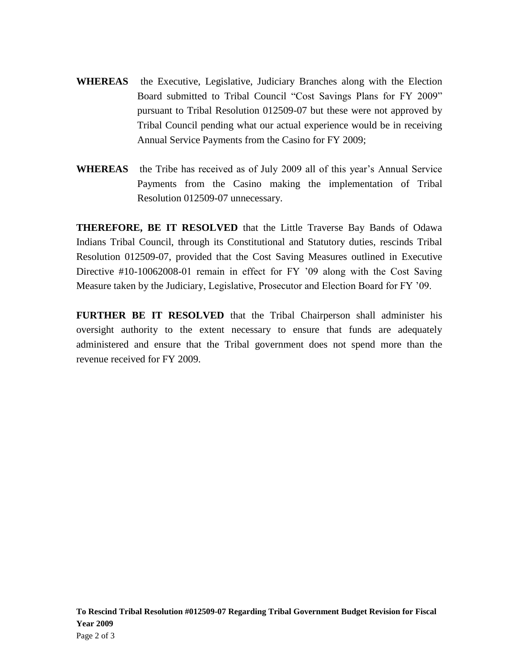- **WHEREAS** the Executive, Legislative, Judiciary Branches along with the Election Board submitted to Tribal Council "Cost Savings Plans for FY 2009" pursuant to Tribal Resolution 012509-07 but these were not approved by Tribal Council pending what our actual experience would be in receiving Annual Service Payments from the Casino for FY 2009;
- **WHEREAS** the Tribe has received as of July 2009 all of this year's Annual Service Payments from the Casino making the implementation of Tribal Resolution 012509-07 unnecessary.

**THEREFORE, BE IT RESOLVED** that the Little Traverse Bay Bands of Odawa Indians Tribal Council, through its Constitutional and Statutory duties, rescinds Tribal Resolution 012509-07, provided that the Cost Saving Measures outlined in Executive Directive #10-10062008-01 remain in effect for FY '09 along with the Cost Saving Measure taken by the Judiciary, Legislative, Prosecutor and Election Board for FY '09.

**FURTHER BE IT RESOLVED** that the Tribal Chairperson shall administer his oversight authority to the extent necessary to ensure that funds are adequately administered and ensure that the Tribal government does not spend more than the revenue received for FY 2009.